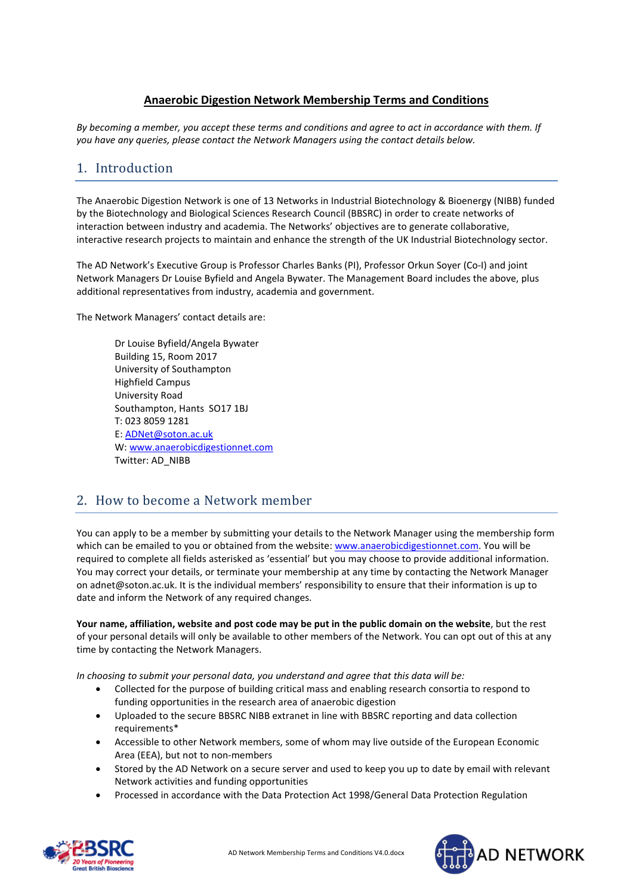### **Anaerobic Digestion Network Membership Terms and Conditions**

*By becoming a member, you accept these terms and conditions and agree to act in accordance with them. If you have any queries, please contact the Network Managers using the contact details below.*

## 1. Introduction

The Anaerobic Digestion Network is one of 13 Networks in Industrial Biotechnology & Bioenergy (NIBB) funded by the Biotechnology and Biological Sciences Research Council (BBSRC) in order to create networks of interaction between industry and academia. The Networks' objectives are to generate collaborative, interactive research projects to maintain and enhance the strength of the UK Industrial Biotechnology sector.

The AD Network's Executive Group is Professor Charles Banks (PI), Professor Orkun Soyer (Co-I) and joint Network Managers Dr Louise Byfield and Angela Bywater. The Management Board includes the above, plus additional representatives from industry, academia and government.

The Network Managers' contact details are:

Dr Louise Byfield/Angela Bywater Building 15, Room 2017 University of Southampton Highfield Campus University Road Southampton, Hants SO17 1BJ T: 023 8059 1281 E: [ADNet@soton.ac.uk](mailto:ADNet@soton.ac.uk) W: [www.anaerobicdigestionnet.com](http://www.anaerobicdigestionnet.com/) Twitter: AD\_NIBB

## 2. How to become a Network member

You can apply to be a member by submitting your details to the Network Manager using the membership form which can be emailed to you or obtained from the website: www.anaerobicdigestionnet.com. You will be required to complete all fields asterisked as 'essential' but you may choose to provide additional information. You may correct your details, or terminate your membership at any time by contacting the Network Manager on adnet@soton.ac.uk. It is the individual members' responsibility to ensure that their information is up to date and inform the Network of any required changes.

**Your name, affiliation, website and post code may be put in the public domain on the website**, but the rest of your personal details will only be available to other members of the Network. You can opt out of this at any time by contacting the Network Managers.

*In choosing to submit your personal data, you understand and agree that this data will be:*

- Collected for the purpose of building critical mass and enabling research consortia to respond to funding opportunities in the research area of anaerobic digestion
- Uploaded to the secure BBSRC NIBB extranet in line with BBSRC reporting and data collection requirements\*
- Accessible to other Network members, some of whom may live outside of the European Economic Area (EEA), but not to non-members
- Stored by the AD Network on a secure server and used to keep you up to date by email with relevant Network activities and funding opportunities
- Processed in accordance with the Data Protection Act 1998/General Data Protection Regulation



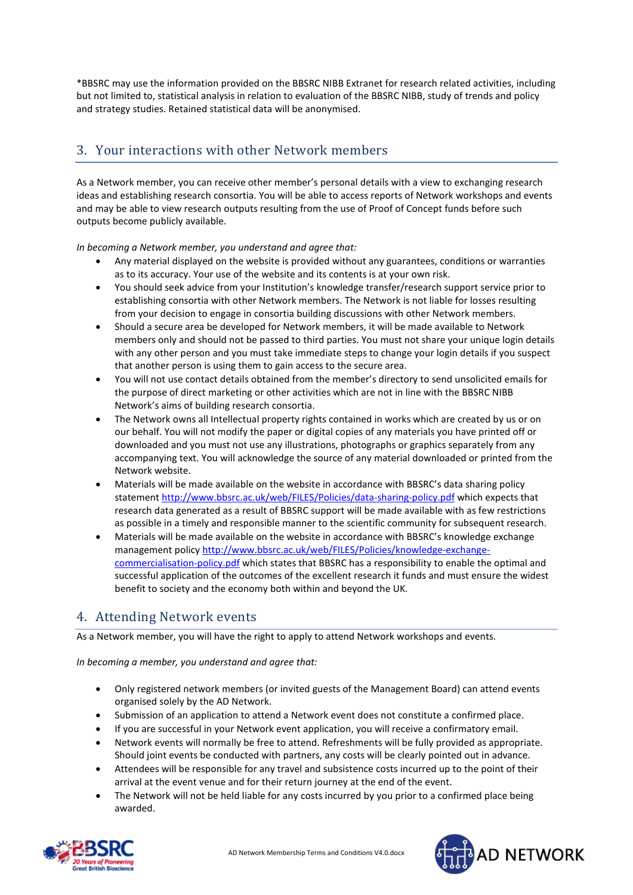\*BBSRC may use the information provided on the BBSRC NIBB Extranet for research related activities, including but not limited to, statistical analysis in relation to evaluation of the BBSRC NIBB, study of trends and policy and strategy studies. Retained statistical data will be anonymised.

# 3. Your interactions with other Network members

As a Network member, you can receive other member's personal details with a view to exchanging research ideas and establishing research consortia. You will be able to access reports of Network workshops and events and may be able to view research outputs resulting from the use of Proof of Concept funds before such outputs become publicly available.

*In becoming a Network member, you understand and agree that:*

- Any material displayed on the website is provided without any guarantees, conditions or warranties as to its accuracy. Your use of the website and its contents is at your own risk.
- You should seek advice from your Institution's knowledge transfer/research support service prior to establishing consortia with other Network members. The Network is not liable for losses resulting from your decision to engage in consortia building discussions with other Network members.
- Should a secure area be developed for Network members, it will be made available to Network members only and should not be passed to third parties. You must not share your unique login details with any other person and you must take immediate steps to change your login details if you suspect that another person is using them to gain access to the secure area.
- You will not use contact details obtained from the member's directory to send unsolicited emails for the purpose of direct marketing or other activities which are not in line with the BBSRC NIBB Network's aims of building research consortia.
- The Network owns all Intellectual property rights contained in works which are created by us or on our behalf. You will not modify the paper or digital copies of any materials you have printed off or downloaded and you must not use any illustrations, photographs or graphics separately from any accompanying text. You will acknowledge the source of any material downloaded or printed from the Network website.
- Materials will be made available on the website in accordance with BBSRC's data sharing policy statement <http://www.bbsrc.ac.uk/web/FILES/Policies/data-sharing-policy.pdf> which expects that research data generated as a result of BBSRC support will be made available with as few restrictions as possible in a timely and responsible manner to the scientific community for subsequent research.
- Materials will be made available on the website in accordance with BBSRC's knowledge exchange management polic[y http://www.bbsrc.ac.uk/web/FILES/Policies/knowledge-exchange](http://www.bbsrc.ac.uk/web/FILES/Policies/knowledge-exchange-commercialisation-policy.pdf)[commercialisation-policy.pdf](http://www.bbsrc.ac.uk/web/FILES/Policies/knowledge-exchange-commercialisation-policy.pdf) which states that BBSRC has a responsibility to enable the optimal and successful application of the outcomes of the excellent research it funds and must ensure the widest benefit to society and the economy both within and beyond the UK.

## 4. Attending Network events

As a Network member, you will have the right to apply to attend Network workshops and events.

*In becoming a member, you understand and agree that:*

- Only registered network members (or invited guests of the Management Board) can attend events organised solely by the AD Network.
- Submission of an application to attend a Network event does not constitute a confirmed place.
- If you are successful in your Network event application, you will receive a confirmatory email.
- Network events will normally be free to attend. Refreshments will be fully provided as appropriate. Should joint events be conducted with partners, any costs will be clearly pointed out in advance.
- Attendees will be responsible for any travel and subsistence costs incurred up to the point of their arrival at the event venue and for their return journey at the end of the event.
- The Network will not be held liable for any costs incurred by you prior to a confirmed place being awarded.